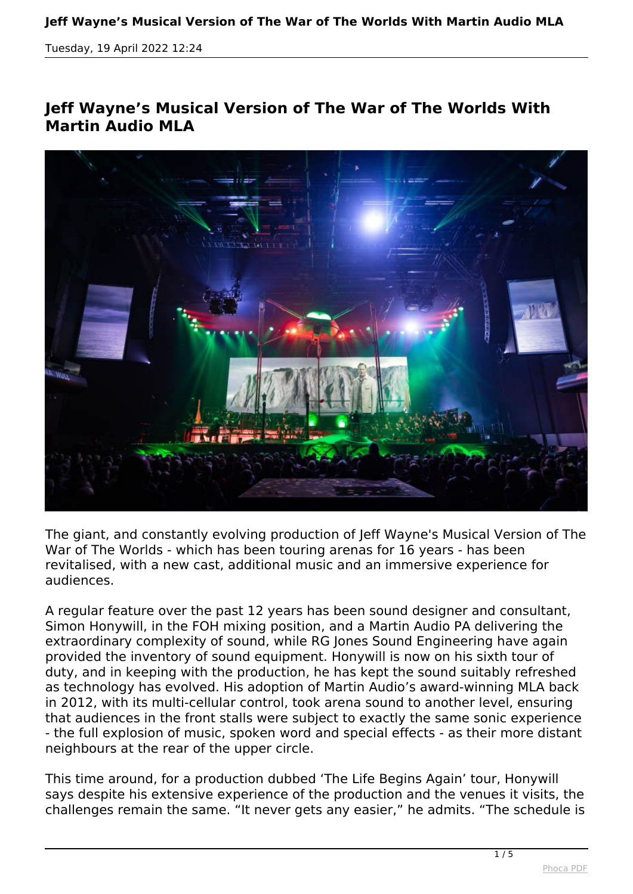## **Jeff Wayne's Musical Version of The War of The Worlds With Martin Audio MLA**



*The giant, and constantly evolving production of Jeff Wayne's Musical Version of The War of The Worlds - which has been touring arenas for 16 years - has been revitalised, with a new cast, additional music and an immersive experience for audiences.*

*A regular feature over the past 12 years has been sound designer and consultant, Simon Honywill, in the FOH mixing position, and a Martin Audio PA delivering the extraordinary complexity of sound, while RG Jones Sound Engineering have again provided the inventory of sound equipment. Honywill is now on his sixth tour of duty, and in keeping with the production, he has kept the sound suitably refreshed as technology has evolved. His adoption of Martin Audio's award-winning MLA back in 2012, with its multi-cellular control, took arena sound to another level, ensuring that audiences in the front stalls were subject to exactly the same sonic experience - the full explosion of music, spoken word and special effects - as their more distant neighbours at the rear of the upper circle.*

*This time around, for a production dubbed 'The Life Begins Again' tour, Honywill says despite his extensive experience of the production and the venues it visits, the challenges remain the same. "It never gets any easier," he admits. "The schedule is*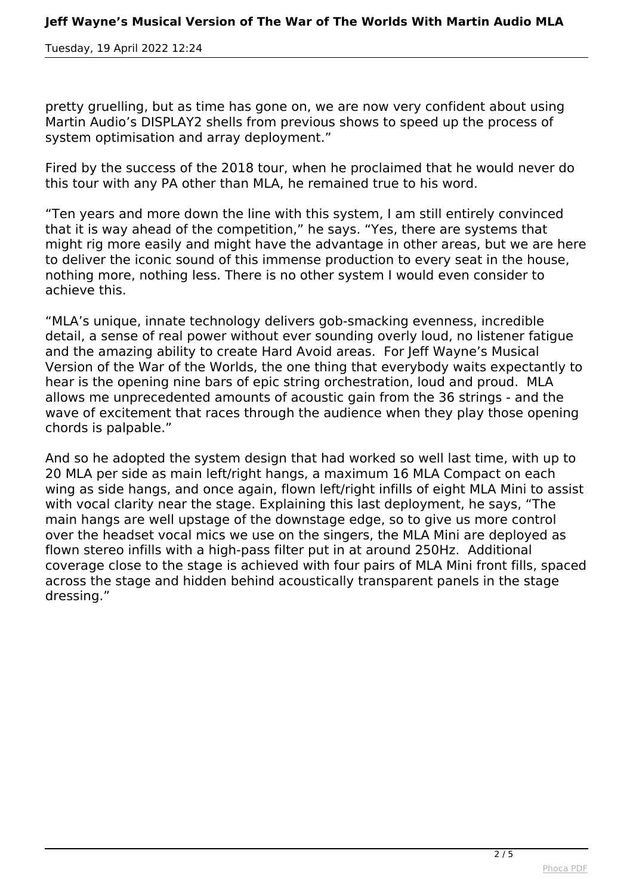*pretty gruelling, but as time has gone on, we are now very confident about using Martin Audio's DISPLAY2 shells from previous shows to speed up the process of system optimisation and array deployment."*

*Fired by the success of the 2018 tour, when he proclaimed that he would never do this tour with any PA other than MLA, he remained true to his word.*

*"Ten years and more down the line with this system, I am still entirely convinced that it is way ahead of the competition," he says. "Yes, there are systems that might rig more easily and might have the advantage in other areas, but we are here to deliver the iconic sound of this immense production to every seat in the house, nothing more, nothing less. There is no other system I would even consider to achieve this.* 

*"MLA's unique, innate technology delivers gob-smacking evenness, incredible detail, a sense of real power without ever sounding overly loud, no listener fatigue and the amazing ability to create Hard Avoid areas. For Jeff Wayne's Musical Version of the War of the Worlds, the one thing that everybody waits expectantly to hear is the opening nine bars of epic string orchestration, loud and proud. MLA allows me unprecedented amounts of acoustic gain from the 36 strings - and the wave of excitement that races through the audience when they play those opening chords is palpable."*

*And so he adopted the system design that had worked so well last time, with up to 20 MLA per side as main left/right hangs, a maximum 16 MLA Compact on each wing as side hangs, and once again, flown left/right infills of eight MLA Mini to assist with vocal clarity near the stage. Explaining this last deployment, he says, "The main hangs are well upstage of the downstage edge, so to give us more control over the headset vocal mics we use on the singers, the MLA Mini are deployed as flown stereo infills with a high-pass filter put in at around 250Hz. Additional coverage close to the stage is achieved with four pairs of MLA Mini front fills, spaced across the stage and hidden behind acoustically transparent panels in the stage dressing."*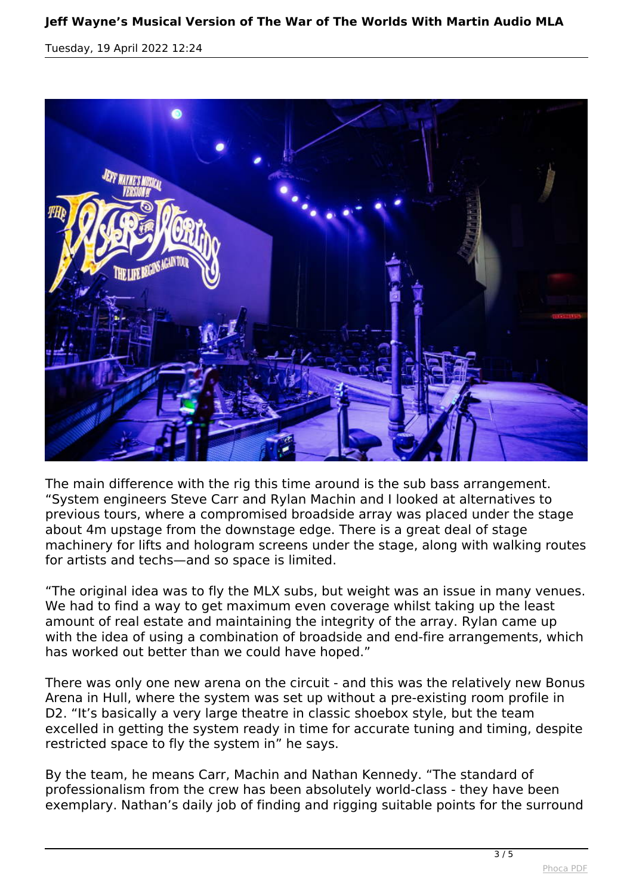

*The main difference with the rig this time around is the sub bass arrangement. "System engineers Steve Carr and Rylan Machin and I looked at alternatives to previous tours, where a compromised broadside array was placed under the stage about 4m upstage from the downstage edge. There is a great deal of stage machinery for lifts and hologram screens under the stage, along with walking routes for artists and techs—and so space is limited.*

*"The original idea was to fly the MLX subs, but weight was an issue in many venues. We had to find a way to get maximum even coverage whilst taking up the least amount of real estate and maintaining the integrity of the array. Rylan came up with the idea of using a combination of broadside and end-fire arrangements, which has worked out better than we could have hoped."*

*There was only one new arena on the circuit - and this was the relatively new Bonus Arena in Hull, where the system was set up without a pre-existing room profile in D2. "It's basically a very large theatre in classic shoebox style, but the team excelled in getting the system ready in time for accurate tuning and timing, despite restricted space to fly the system in" he says.*

*By the team, he means Carr, Machin and Nathan Kennedy. "The standard of professionalism from the crew has been absolutely world-class - they have been exemplary. Nathan's daily job of finding and rigging suitable points for the surround*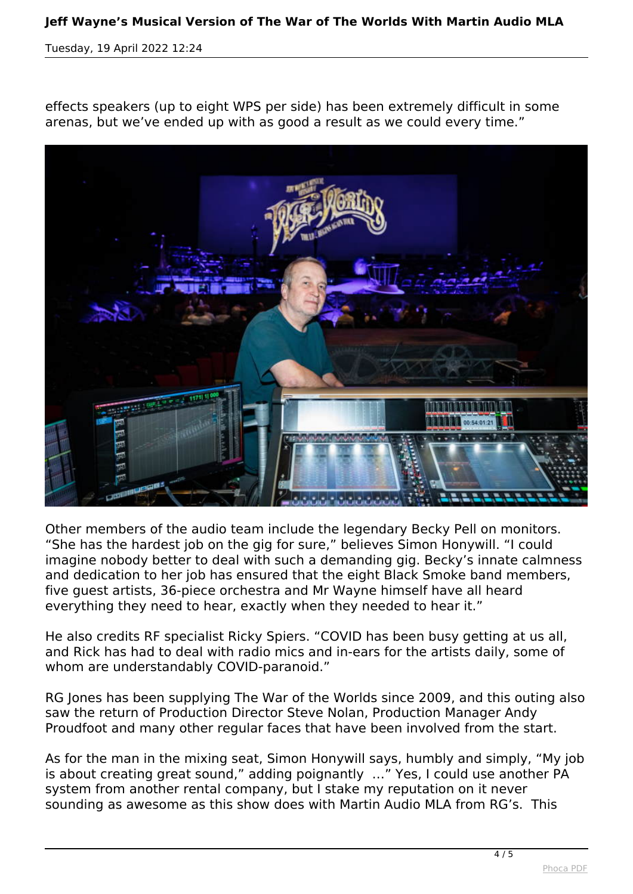## **Jeff Wayne's Musical Version of The War of The Worlds With Martin Audio MLA**

*Tuesday, 19 April 2022 12:24*

*effects speakers (up to eight WPS per side) has been extremely difficult in some arenas, but we've ended up with as good a result as we could every time."*



*Other members of the audio team include the legendary Becky Pell on monitors. "She has the hardest job on the gig for sure," believes Simon Honywill. "I could imagine nobody better to deal with such a demanding gig. Becky's innate calmness and dedication to her job has ensured that the eight Black Smoke band members, five guest artists, 36-piece orchestra and Mr Wayne himself have all heard everything they need to hear, exactly when they needed to hear it."*

*He also credits RF specialist Ricky Spiers. "COVID has been busy getting at us all, and Rick has had to deal with radio mics and in-ears for the artists daily, some of whom are understandably COVID-paranoid."*

*RG Jones has been supplying The War of the Worlds since 2009, and this outing also saw the return of Production Director Steve Nolan, Production Manager Andy Proudfoot and many other regular faces that have been involved from the start.*

*As for the man in the mixing seat, Simon Honywill says, humbly and simply, "My job is about creating great sound," adding poignantly …" Yes, I could use another PA system from another rental company, but I stake my reputation on it never sounding as awesome as this show does with Martin Audio MLA from RG's. This*